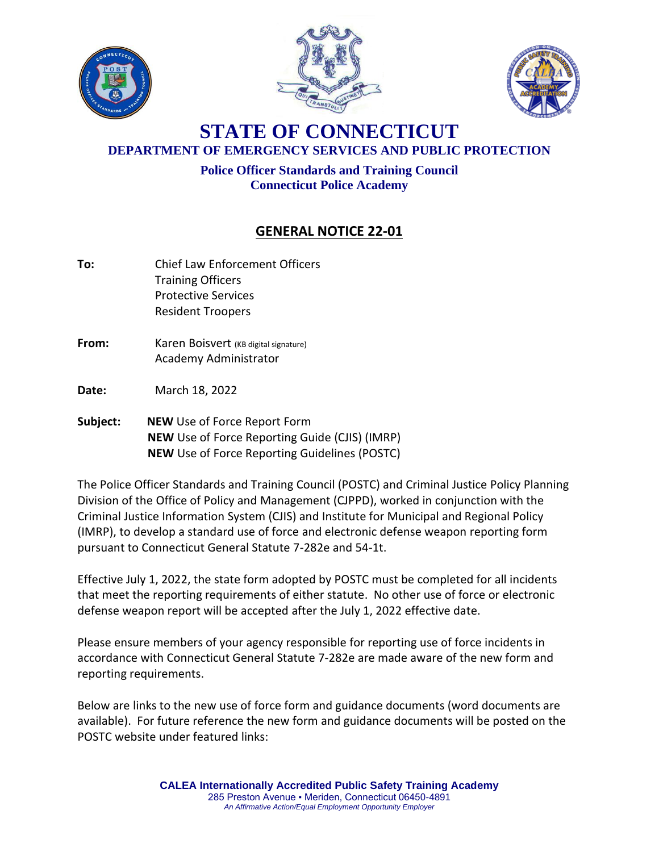





## **STATE OF CONNECTICUT DEPARTMENT OF EMERGENCY SERVICES AND PUBLIC PROTECTION**

**Police Officer Standards and Training Council Connecticut Police Academy**

## **GENERAL NOTICE 22-01**

- **To:** Chief Law Enforcement Officers Training Officers Protective Services Resident Troopers
- **From:** Karen Boisvert (KB digital signature) Academy Administrator
- **Date:** March 18, 2022
- **Subject: NEW** Use of Force Report Form  **NEW** Use of Force Reporting Guide (CJIS) (IMRP)  **NEW** Use of Force Reporting Guidelines (POSTC)

The Police Officer Standards and Training Council (POSTC) and Criminal Justice Policy Planning Division of the Office of Policy and Management (CJPPD), worked in conjunction with the Criminal Justice Information System (CJIS) and Institute for Municipal and Regional Policy (IMRP), to develop a standard use of force and electronic defense weapon reporting form pursuant to Connecticut General Statute 7-282e and 54-1t.

Effective July 1, 2022, the state form adopted by POSTC must be completed for all incidents that meet the reporting requirements of either statute. No other use of force or electronic defense weapon report will be accepted after the July 1, 2022 effective date.

Please ensure members of your agency responsible for reporting use of force incidents in accordance with Connecticut General Statute 7-282e are made aware of the new form and reporting requirements.

Below are links to the new use of force form and guidance documents (word documents are available). For future reference the new form and guidance documents will be posted on the POSTC website under featured links: